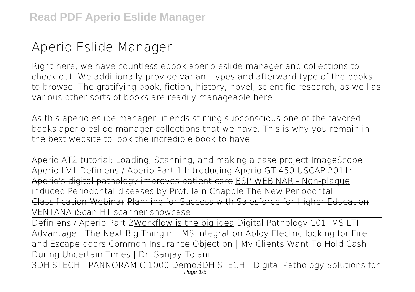## **Aperio Eslide Manager**

Right here, we have countless ebook **aperio eslide manager** and collections to check out. We additionally provide variant types and afterward type of the books to browse. The gratifying book, fiction, history, novel, scientific research, as well as various other sorts of books are readily manageable here.

As this aperio eslide manager, it ends stirring subconscious one of the favored books aperio eslide manager collections that we have. This is why you remain in the best website to look the incredible book to have.

Aperio AT2 tutorial: Loading, Scanning, and making a case project *ImageScope Aperio LV1* Definiens / Aperio Part 1 **Introducing Aperio GT 450** USCAP 2011: Aperio's digital pathology improves patient care BSP WEBINAR - Non-plaque induced Periodontal diseases by Prof. Iain Chapple The New Periodontal Classification Webinar Planning for Success with Salesforce for Higher Education **VENTANA iScan HT scanner showcase**

Definiens / Aperio Part 2Workflow is the big idea Digital Pathology 101 *IMS LTI Advantage - The Next Big Thing in LMS Integration Abloy Electric locking for Fire and Escape doors Common Insurance Objection | My Clients Want To Hold Cash During Uncertain Times | Dr. Sanjay Tolani*

3DHISTECH - PANNORAMIC 1000 Demo*3DHISTECH - Digital Pathology Solutions for* Page  $1/5$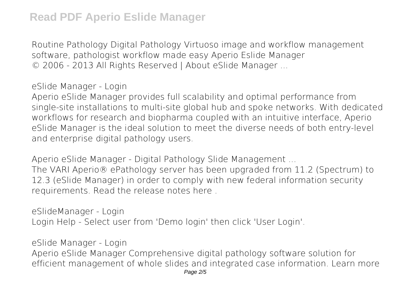*Routine Pathology Digital Pathology Virtuoso image and workflow management software, pathologist workflow made easy* **Aperio Eslide Manager** © 2006 - 2013 All Rights Reserved | About eSlide Manager ...

**eSlide Manager - Login**

Aperio eSlide Manager provides full scalability and optimal performance from single-site installations to multi-site global hub and spoke networks. With dedicated workflows for research and biopharma coupled with an intuitive interface, Aperio eSlide Manager is the ideal solution to meet the diverse needs of both entry-level and enterprise digital pathology users.

**Aperio eSlide Manager - Digital Pathology Slide Management ...**

The VARI Aperio® ePathology server has been upgraded from 11.2 (Spectrum) to 12.3 (eSlide Manager) in order to comply with new federal information security requirements. Read the release notes here .

**eSlideManager - Login** Login Help - Select user from 'Demo login' then click 'User Login'.

**eSlide Manager - Login**

Aperio eSlide Manager Comprehensive digital pathology software solution for efficient management of whole slides and integrated case information. Learn more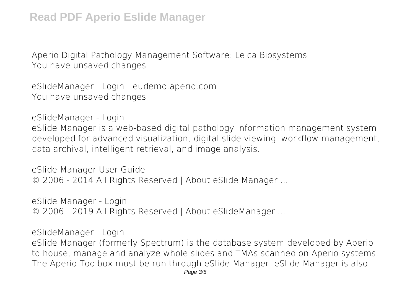**Aperio Digital Pathology Management Software: Leica Biosystems** You have unsaved changes

**eSlideManager - Login - eudemo.aperio.com** You have unsaved changes

**eSlideManager - Login**

eSlide Manager is a web-based digital pathology information management system developed for advanced visualization, digital slide viewing, workflow management, data archival, intelligent retrieval, and image analysis.

**eSlide Manager User Guide** © 2006 - 2014 All Rights Reserved | About eSlide Manager ...

**eSlide Manager - Login** © 2006 - 2019 All Rights Reserved | About eSlideManager ...

**eSlideManager - Login**

eSlide Manager (formerly Spectrum) is the database system developed by Aperio to house, manage and analyze whole slides and TMAs scanned on Aperio systems. The Aperio Toolbox must be run through eSlide Manager. eSlide Manager is also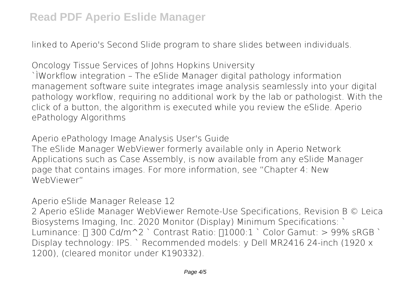linked to Aperio's Second Slide program to share slides between individuals.

**Oncology Tissue Services of Johns Hopkins University** `ÌWorkflow integration – The eSlide Manager digital pathology information management software suite integrates image analysis seamlessly into your digital pathology workflow, requiring no additional work by the lab or pathologist. With the click of a button, the algorithm is executed while you review the eSlide. Aperio ePathology Algorithms

**Aperio ePathology Image Analysis User's Guide** The eSlide Manager WebViewer formerly available only in Aperio Network Applications such as Case Assembly, is now available from any eSlide Manager page that contains images. For more information, see "Chapter 4: New WebViewer"

**Aperio eSlide Manager Release 12**

2 Aperio eSlide Manager WebViewer Remote-Use Specifications, Revision B © Leica Biosystems Imaging, Inc. 2020 Monitor (Display) Minimum Specifications: ` Luminance:  $\Box$  300 Cd/m^2 ` Contrast Ratio:  $\Box$ 1000:1 ` Color Gamut: > 99% sRGB ` Display technology: IPS. ` Recommended models: y Dell MR2416 24-inch (1920 x 1200), (cleared monitor under K190332).